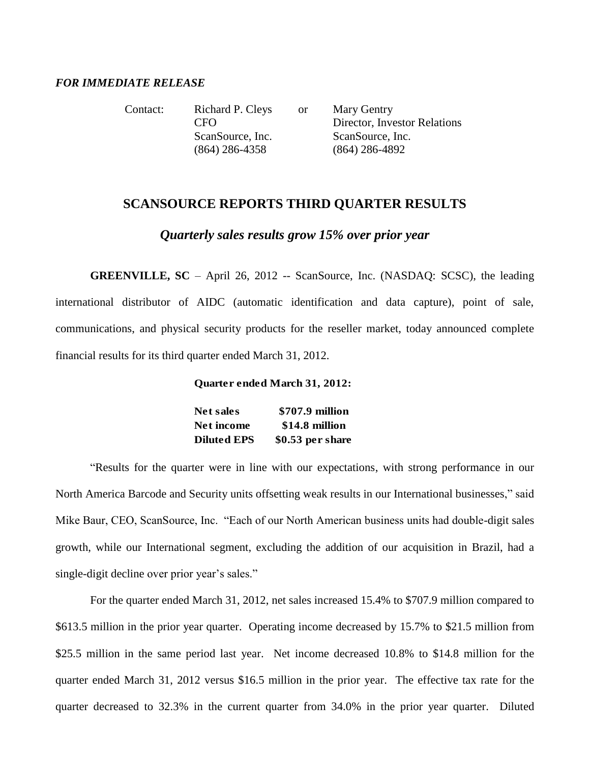### *FOR IMMEDIATE RELEASE*

Contact: Richard P. Cleys or Mary Gentry CFO Director, Investor Relations ScanSource, Inc. ScanSource, Inc. (864) 286-4358 (864) 286-4892

## **SCANSOURCE REPORTS THIRD QUARTER RESULTS**

*Quarterly sales results grow 15% over prior year*

**GREENVILLE, SC** – April 26, 2012 -- ScanSource, Inc. (NASDAQ: SCSC), the leading international distributor of AIDC (automatic identification and data capture), point of sale, communications, and physical security products for the reseller market, today announced complete financial results for its third quarter ended March 31, 2012.

## **Quarter ended March 31, 2012:**

| Net sales          | \$707.9 million   |
|--------------------|-------------------|
| Net income         | \$14.8 million    |
| <b>Diluted EPS</b> | $$0.53$ per share |

"Results for the quarter were in line with our expectations, with strong performance in our North America Barcode and Security units offsetting weak results in our International businesses," said Mike Baur, CEO, ScanSource, Inc. "Each of our North American business units had double-digit sales growth, while our International segment, excluding the addition of our acquisition in Brazil, had a single-digit decline over prior year's sales."

For the quarter ended March 31, 2012, net sales increased 15.4% to \$707.9 million compared to \$613.5 million in the prior year quarter. Operating income decreased by 15.7% to \$21.5 million from \$25.5 million in the same period last year. Net income decreased 10.8% to \$14.8 million for the quarter ended March 31, 2012 versus \$16.5 million in the prior year. The effective tax rate for the quarter decreased to 32.3% in the current quarter from 34.0% in the prior year quarter. Diluted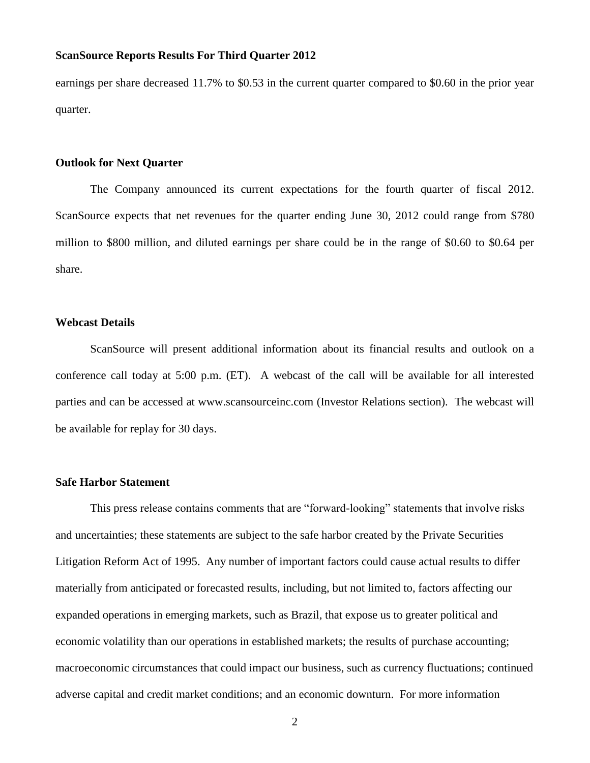earnings per share decreased 11.7% to \$0.53 in the current quarter compared to \$0.60 in the prior year quarter.

#### **Outlook for Next Quarter**

The Company announced its current expectations for the fourth quarter of fiscal 2012. ScanSource expects that net revenues for the quarter ending June 30, 2012 could range from \$780 million to \$800 million, and diluted earnings per share could be in the range of \$0.60 to \$0.64 per share.

#### **Webcast Details**

ScanSource will present additional information about its financial results and outlook on a conference call today at 5:00 p.m. (ET). A webcast of the call will be available for all interested parties and can be accessed at www.scansourceinc.com (Investor Relations section). The webcast will be available for replay for 30 days.

#### **Safe Harbor Statement**

This press release contains comments that are "forward-looking" statements that involve risks and uncertainties; these statements are subject to the safe harbor created by the Private Securities Litigation Reform Act of 1995. Any number of important factors could cause actual results to differ materially from anticipated or forecasted results, including, but not limited to, factors affecting our expanded operations in emerging markets, such as Brazil, that expose us to greater political and economic volatility than our operations in established markets; the results of purchase accounting; macroeconomic circumstances that could impact our business, such as currency fluctuations; continued adverse capital and credit market conditions; and an economic downturn. For more information

2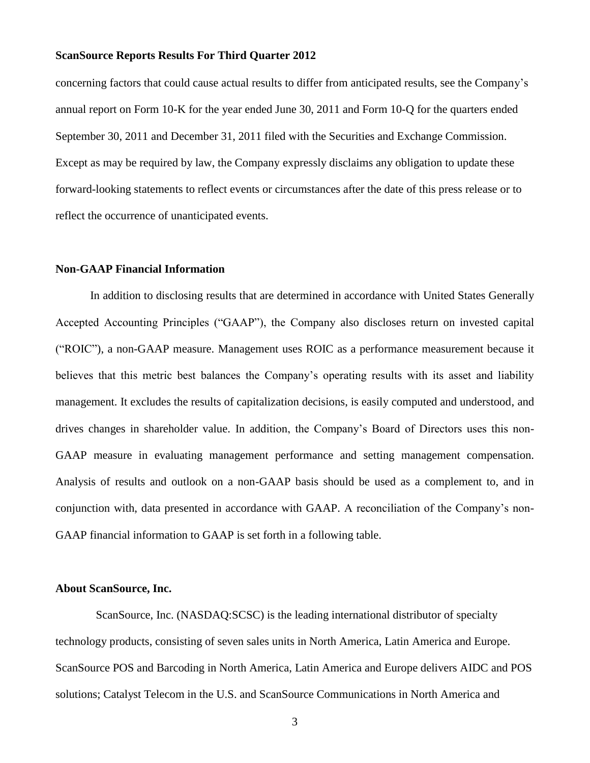concerning factors that could cause actual results to differ from anticipated results, see the Company's annual report on Form 10-K for the year ended June 30, 2011 and Form 10-Q for the quarters ended September 30, 2011 and December 31, 2011 filed with the Securities and Exchange Commission. Except as may be required by law, the Company expressly disclaims any obligation to update these forward-looking statements to reflect events or circumstances after the date of this press release or to reflect the occurrence of unanticipated events.

### **Non-GAAP Financial Information**

In addition to disclosing results that are determined in accordance with United States Generally Accepted Accounting Principles ("GAAP"), the Company also discloses return on invested capital ("ROIC"), a non-GAAP measure. Management uses ROIC as a performance measurement because it believes that this metric best balances the Company's operating results with its asset and liability management. It excludes the results of capitalization decisions, is easily computed and understood, and drives changes in shareholder value. In addition, the Company's Board of Directors uses this non-GAAP measure in evaluating management performance and setting management compensation. Analysis of results and outlook on a non-GAAP basis should be used as a complement to, and in conjunction with, data presented in accordance with GAAP. A reconciliation of the Company's non-GAAP financial information to GAAP is set forth in a following table.

## **About ScanSource, Inc.**

ScanSource, Inc. (NASDAQ:SCSC) is the leading international distributor of specialty technology products, consisting of seven sales units in North America, Latin America and Europe. ScanSource POS and Barcoding in North America, Latin America and Europe delivers AIDC and POS solutions; Catalyst Telecom in the U.S. and ScanSource Communications in North America and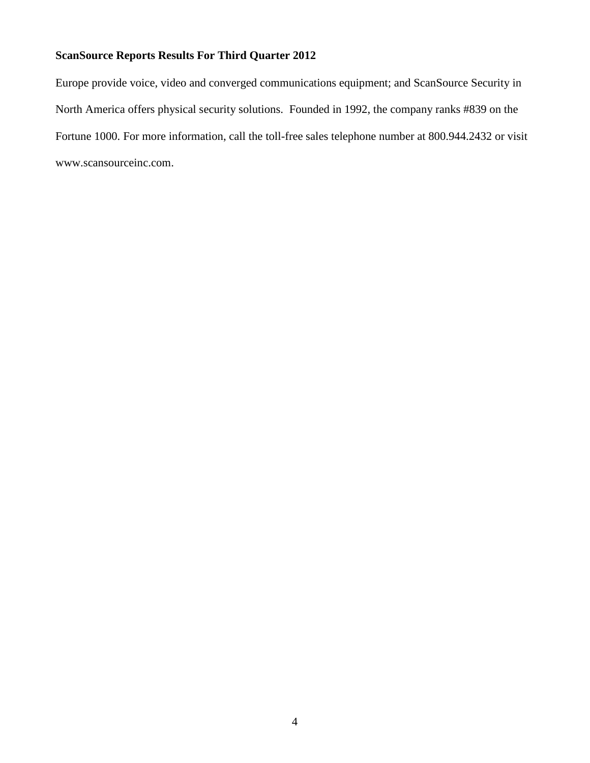Europe provide voice, video and converged communications equipment; and ScanSource Security in North America offers physical security solutions. Founded in 1992, the company ranks #839 on the Fortune 1000. For more information, call the toll-free sales telephone number at 800.944.2432 or visit www.scansourceinc.com.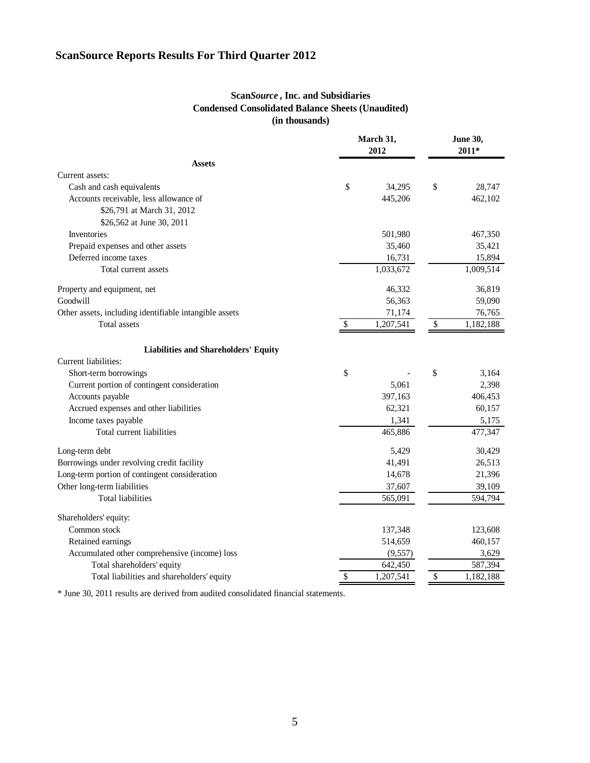## **Scan***Source* **, Inc. and Subsidiaries Condensed Consolidated Balance Sheets (Unaudited) (in thousands)**

|                                                        | March 31,<br>2012 |           | <b>June 30,</b><br>$2011*$ |           |  |
|--------------------------------------------------------|-------------------|-----------|----------------------------|-----------|--|
| <b>Assets</b>                                          |                   |           |                            |           |  |
| Current assets:                                        |                   |           |                            |           |  |
| Cash and cash equivalents                              | \$                | 34,295    | \$                         | 28,747    |  |
| Accounts receivable, less allowance of                 |                   | 445,206   |                            | 462,102   |  |
| \$26,791 at March 31, 2012                             |                   |           |                            |           |  |
| \$26,562 at June 30, 2011                              |                   |           |                            |           |  |
| Inventories                                            |                   | 501,980   |                            | 467,350   |  |
| Prepaid expenses and other assets                      |                   | 35,460    |                            | 35,421    |  |
| Deferred income taxes                                  |                   | 16,731    |                            | 15,894    |  |
| Total current assets                                   |                   | 1,033,672 |                            | 1,009,514 |  |
| Property and equipment, net                            |                   | 46,332    |                            | 36,819    |  |
| Goodwill                                               |                   | 56,363    |                            | 59,090    |  |
| Other assets, including identifiable intangible assets |                   | 71,174    |                            | 76,765    |  |
| Total assets                                           | \$                | 1,207,541 | \$                         | 1,182,188 |  |
| <b>Liabilities and Shareholders' Equity</b>            |                   |           |                            |           |  |
| Current liabilities:                                   |                   |           |                            |           |  |
| Short-term borrowings                                  | \$                |           | \$                         | 3,164     |  |
| Current portion of contingent consideration            |                   | 5,061     |                            | 2,398     |  |
| Accounts payable                                       |                   | 397,163   |                            | 406,453   |  |
| Accrued expenses and other liabilities                 |                   | 62,321    |                            | 60,157    |  |
| Income taxes payable                                   |                   | 1,341     |                            | 5,175     |  |
| Total current liabilities                              |                   | 465,886   |                            | 477,347   |  |
| Long-term debt                                         |                   | 5,429     |                            | 30,429    |  |
| Borrowings under revolving credit facility             |                   | 41,491    |                            | 26,513    |  |
| Long-term portion of contingent consideration          |                   | 14,678    |                            | 21,396    |  |
| Other long-term liabilities                            |                   | 37,607    |                            | 39,109    |  |
| <b>Total liabilities</b>                               |                   | 565,091   |                            | 594,794   |  |
| Shareholders' equity:                                  |                   |           |                            |           |  |
| Common stock                                           |                   | 137,348   |                            | 123,608   |  |
| Retained earnings                                      |                   | 514,659   |                            | 460,157   |  |
| Accumulated other comprehensive (income) loss          |                   | (9, 557)  |                            | 3,629     |  |
| Total shareholders' equity                             |                   | 642,450   |                            | 587,394   |  |
| Total liabilities and shareholders' equity             | \$                | 1,207,541 | \$                         | 1,182,188 |  |

\* June 30, 2011 results are derived from audited consolidated financial statements.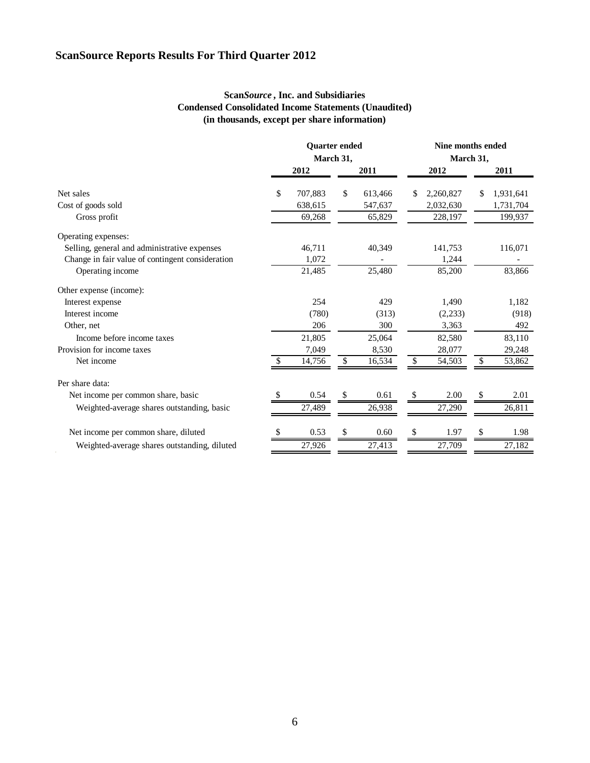## **Scan***Source* **, Inc. and Subsidiaries Condensed Consolidated Income Statements (Unaudited) (in thousands, except per share information)**

|                                                  | <b>Quarter</b> ended<br>March 31, |         |    | Nine months ended<br>March 31, |    |           |    |           |
|--------------------------------------------------|-----------------------------------|---------|----|--------------------------------|----|-----------|----|-----------|
|                                                  |                                   | 2012    |    | 2011                           |    | 2012      |    | 2011      |
| Net sales                                        | \$.                               | 707,883 | \$ | 613,466                        | S  | 2,260,827 | \$ | 1,931,641 |
| Cost of goods sold                               |                                   | 638,615 |    | 547,637                        |    | 2,032,630 |    | 1,731,704 |
| Gross profit                                     |                                   | 69,268  |    | 65,829                         |    | 228,197   |    | 199,937   |
| Operating expenses:                              |                                   |         |    |                                |    |           |    |           |
| Selling, general and administrative expenses     |                                   | 46,711  |    | 40,349                         |    | 141,753   |    | 116,071   |
| Change in fair value of contingent consideration |                                   | 1.072   |    |                                |    | 1,244     |    |           |
| Operating income                                 |                                   | 21,485  |    | 25,480                         |    | 85,200    |    | 83,866    |
| Other expense (income):                          |                                   |         |    |                                |    |           |    |           |
| Interest expense                                 |                                   | 254     |    | 429                            |    | 1,490     |    | 1,182     |
| Interest income                                  |                                   | (780)   |    | (313)                          |    | (2, 233)  |    | (918)     |
| Other, net                                       |                                   | 206     |    | 300                            |    | 3,363     |    | 492       |
| Income before income taxes                       |                                   | 21,805  |    | 25,064                         |    | 82,580    |    | 83,110    |
| Provision for income taxes                       |                                   | 7,049   |    | 8,530                          |    | 28,077    |    | 29,248    |
| Net income                                       |                                   | 14,756  | \$ | 16,534                         | \$ | 54,503    | \$ | 53,862    |
| Per share data:                                  |                                   |         |    |                                |    |           |    |           |
| Net income per common share, basic               |                                   | 0.54    |    | 0.61                           |    | 2.00      |    | 2.01      |
| Weighted-average shares outstanding, basic       |                                   | 27,489  |    | 26,938                         |    | 27,290    |    | 26,811    |
| Net income per common share, diluted             |                                   | 0.53    |    | 0.60                           | S  | 1.97      | S  | 1.98      |
|                                                  |                                   |         |    |                                |    |           |    |           |
| Weighted-average shares outstanding, diluted     |                                   | 27,926  |    | 27,413                         |    | 27,709    |    | 27,182    |